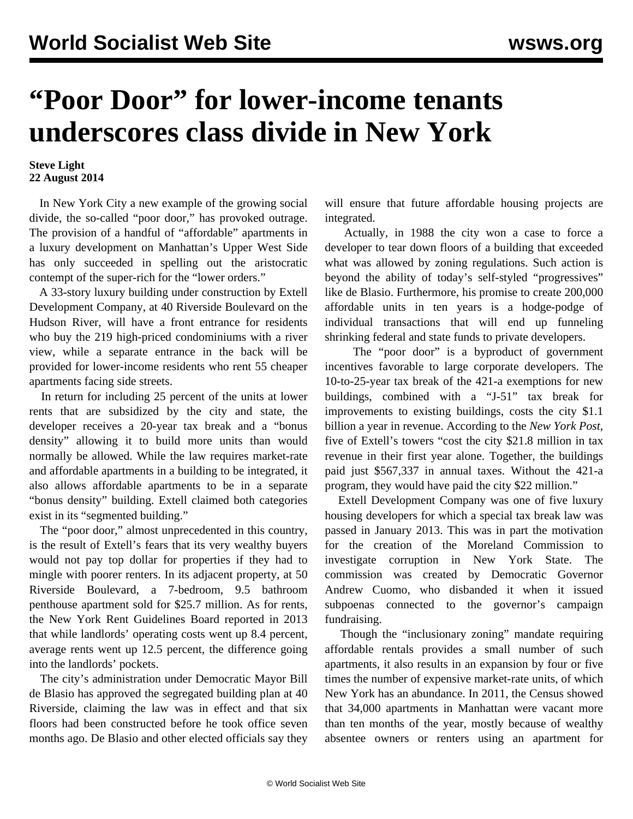## **"Poor Door" for lower-income tenants underscores class divide in New York**

## **Steve Light 22 August 2014**

 In New York City a new example of the growing social divide, the so-called "poor door," has provoked outrage. The provision of a handful of "affordable" apartments in a luxury development on Manhattan's Upper West Side has only succeeded in spelling out the aristocratic contempt of the super-rich for the "lower orders."

 A 33-story luxury building under construction by Extell Development Company, at 40 Riverside Boulevard on the Hudson River, will have a front entrance for residents who buy the 219 high-priced condominiums with a river view, while a separate entrance in the back will be provided for lower-income residents who rent 55 cheaper apartments facing side streets.

 In return for including 25 percent of the units at lower rents that are subsidized by the city and state, the developer receives a 20-year tax break and a "bonus density" allowing it to build more units than would normally be allowed. While the law requires market-rate and affordable apartments in a building to be integrated, it also allows affordable apartments to be in a separate "bonus density" building. Extell claimed both categories exist in its "segmented building."

 The "poor door," almost unprecedented in this country, is the result of Extell's fears that its very wealthy buyers would not pay top dollar for properties if they had to mingle with poorer renters. In its adjacent property, at 50 Riverside Boulevard, a 7-bedroom, 9.5 bathroom penthouse apartment sold for \$25.7 million. As for rents, the New York Rent Guidelines Board reported in 2013 that while landlords' operating costs went up 8.4 percent, average rents went up 12.5 percent, the difference going into the landlords' pockets.

 The city's administration under Democratic Mayor Bill de Blasio has approved the segregated building plan at 40 Riverside, claiming the law was in effect and that six floors had been constructed before he took office seven months ago. De Blasio and other elected officials say they will ensure that future affordable housing projects are integrated.

 Actually, in 1988 the city won a case to force a developer to tear down floors of a building that exceeded what was allowed by zoning regulations. Such action is beyond the ability of today's self-styled "progressives" like de Blasio. Furthermore, his promise to create 200,000 affordable units in ten years is a hodge-podge of individual transactions that will end up funneling shrinking federal and state funds to private developers.

 The "poor door" is a byproduct of government incentives favorable to large corporate developers. The 10-to-25-year tax break of the 421-a exemptions for new buildings, combined with a "J-51" tax break for improvements to existing buildings, costs the city \$1.1 billion a year in revenue. According to the *New York Post*, five of Extell's towers "cost the city \$21.8 million in tax revenue in their first year alone. Together, the buildings paid just \$567,337 in annual taxes. Without the 421-a program, they would have paid the city \$22 million."

 Extell Development Company was one of five luxury housing developers for which a special tax break law was passed in January 2013. This was in part the motivation for the creation of the Moreland Commission to investigate corruption in New York State. The commission was created by Democratic Governor Andrew Cuomo, who disbanded it when it issued subpoenas connected to the governor's campaign fundraising.

 Though the "inclusionary zoning" mandate requiring affordable rentals provides a small number of such apartments, it also results in an expansion by four or five times the number of expensive market-rate units, of which New York has an abundance. In 2011, the Census showed that 34,000 apartments in Manhattan were vacant more than ten months of the year, mostly because of wealthy absentee owners or renters using an apartment for